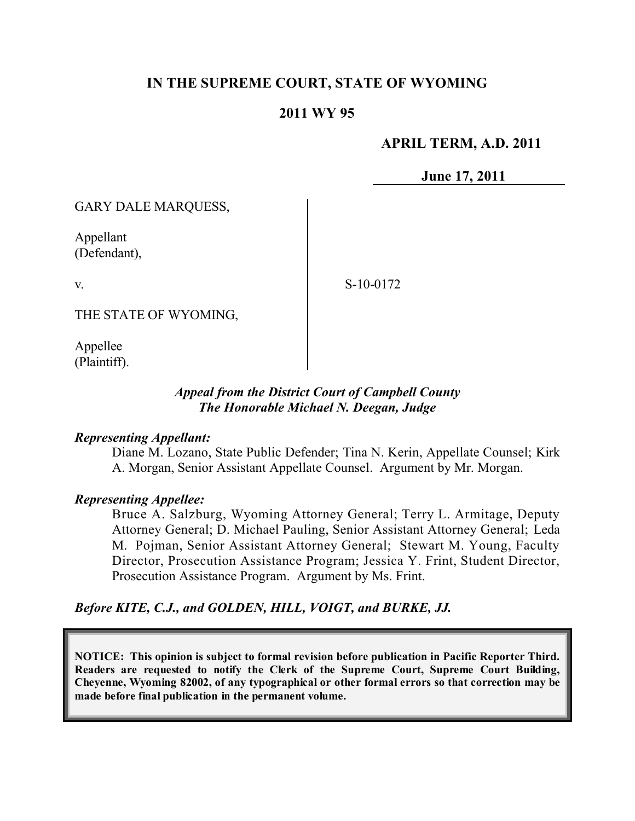# **IN THE SUPREME COURT, STATE OF WYOMING**

# **2011 WY 95**

### **APRIL TERM, A.D. 2011**

**June 17, 2011**

GARY DALE MARQUESS,

Appellant (Defendant),

v.

S-10-0172

THE STATE OF WYOMING,

Appellee (Plaintiff).

## *Appeal from the District Court of Campbell County The Honorable Michael N. Deegan, Judge*

#### *Representing Appellant:*

Diane M. Lozano, State Public Defender; Tina N. Kerin, Appellate Counsel; Kirk A. Morgan, Senior Assistant Appellate Counsel. Argument by Mr. Morgan.

#### *Representing Appellee:*

Bruce A. Salzburg, Wyoming Attorney General; Terry L. Armitage, Deputy Attorney General; D. Michael Pauling, Senior Assistant Attorney General; Leda M. Pojman, Senior Assistant Attorney General; Stewart M. Young, Faculty Director, Prosecution Assistance Program; Jessica Y. Frint, Student Director, Prosecution Assistance Program. Argument by Ms. Frint.

### *Before KITE, C.J., and GOLDEN, HILL, VOIGT, and BURKE, JJ.*

**NOTICE: This opinion is subject to formal revision before publication in Pacific Reporter Third. Readers are requested to notify the Clerk of the Supreme Court, Supreme Court Building, Cheyenne, Wyoming 82002, of any typographical or other formal errors so that correction may be made before final publication in the permanent volume.**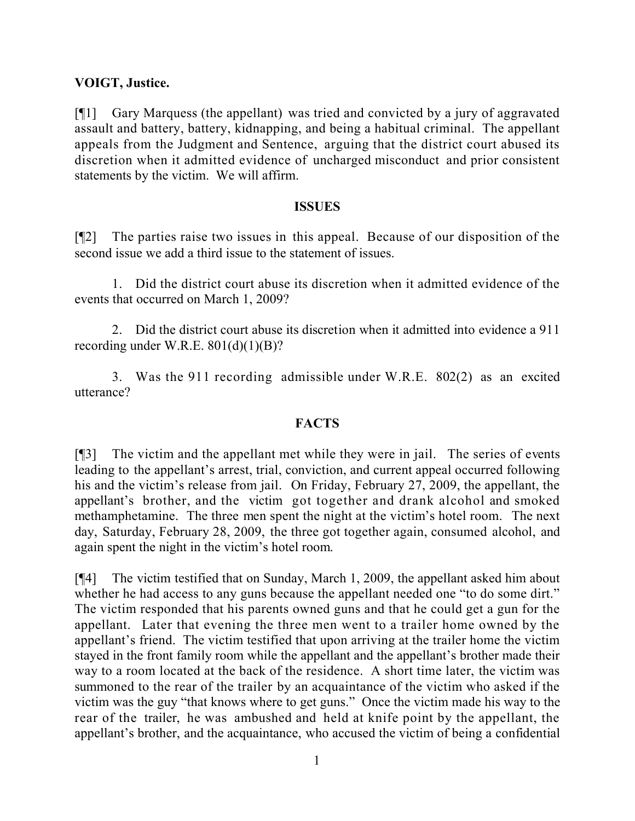## **VOIGT, Justice.**

[¶1] Gary Marquess (the appellant) was tried and convicted by a jury of aggravated assault and battery, battery, kidnapping, and being a habitual criminal. The appellant appeals from the Judgment and Sentence, arguing that the district court abused its discretion when it admitted evidence of uncharged misconduct and prior consistent statements by the victim. We will affirm.

#### **ISSUES**

[¶2] The parties raise two issues in this appeal. Because of our disposition of the second issue we add a third issue to the statement of issues.

1. Did the district court abuse its discretion when it admitted evidence of the events that occurred on March 1, 2009?

2. Did the district court abuse its discretion when it admitted into evidence a 911 recording under W.R.E.  $801(d)(1)(B)$ ?

3. Was the 911 recording admissible under W.R.E. 802(2) as an excited utterance?

# **FACTS**

[¶3] The victim and the appellant met while they were in jail. The series of events leading to the appellant's arrest, trial, conviction, and current appeal occurred following his and the victim's release from jail. On Friday, February 27, 2009, the appellant, the appellant's brother, and the victim got together and drank alcohol and smoked methamphetamine. The three men spent the night at the victim's hotel room. The next day, Saturday, February 28, 2009, the three got together again, consumed alcohol, and again spent the night in the victim's hotel room.

[¶4] The victim testified that on Sunday, March 1, 2009, the appellant asked him about whether he had access to any guns because the appellant needed one "to do some dirt." The victim responded that his parents owned guns and that he could get a gun for the appellant. Later that evening the three men went to a trailer home owned by the appellant's friend. The victim testified that upon arriving at the trailer home the victim stayed in the front family room while the appellant and the appellant's brother made their way to a room located at the back of the residence. A short time later, the victim was summoned to the rear of the trailer by an acquaintance of the victim who asked if the victim was the guy "that knows where to get guns." Once the victim made his way to the rear of the trailer, he was ambushed and held at knife point by the appellant, the appellant's brother, and the acquaintance, who accused the victim of being a confidential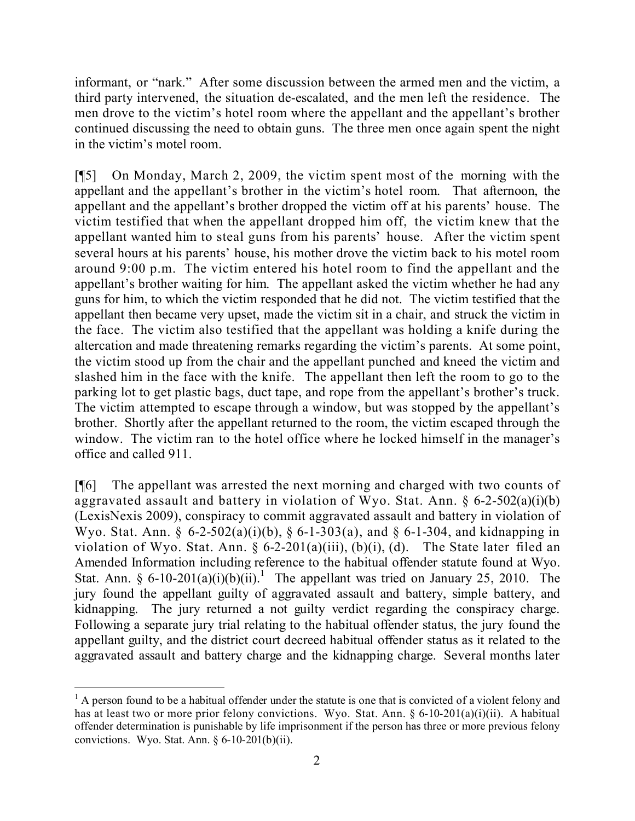informant, or "nark." After some discussion between the armed men and the victim, a third party intervened, the situation de-escalated, and the men left the residence. The men drove to the victim's hotel room where the appellant and the appellant's brother continued discussing the need to obtain guns. The three men once again spent the night in the victim's motel room.

[¶5] On Monday, March 2, 2009, the victim spent most of the morning with the appellant and the appellant's brother in the victim's hotel room. That afternoon, the appellant and the appellant's brother dropped the victim off at his parents' house. The victim testified that when the appellant dropped him off, the victim knew that the appellant wanted him to steal guns from his parents' house. After the victim spent several hours at his parents' house, his mother drove the victim back to his motel room around 9:00 p.m. The victim entered his hotel room to find the appellant and the appellant's brother waiting for him. The appellant asked the victim whether he had any guns for him, to which the victim responded that he did not. The victim testified that the appellant then became very upset, made the victim sit in a chair, and struck the victim in the face. The victim also testified that the appellant was holding a knife during the altercation and made threatening remarks regarding the victim's parents. At some point, the victim stood up from the chair and the appellant punched and kneed the victim and slashed him in the face with the knife. The appellant then left the room to go to the parking lot to get plastic bags, duct tape, and rope from the appellant's brother's truck. The victim attempted to escape through a window, but was stopped by the appellant's brother. Shortly after the appellant returned to the room, the victim escaped through the window. The victim ran to the hotel office where he locked himself in the manager's office and called 911.

[¶6] The appellant was arrested the next morning and charged with two counts of aggravated assault and battery in violation of Wyo. Stat. Ann.  $\S 6$ -2-502(a)(i)(b) (LexisNexis 2009), conspiracy to commit aggravated assault and battery in violation of Wyo. Stat. Ann. §  $6-2-502(a)(i)(b)$ , §  $6-1-303(a)$ , and §  $6-1-304$ , and kidnapping in violation of Wyo. Stat. Ann. § 6-2-201(a)(iii), (b)(i), (d). The State later filed an Amended Information including reference to the habitual offender statute found at Wyo. Stat. Ann. § 6-10-201(a)(i)(b)(ii).<sup>1</sup> The appellant was tried on January 25, 2010. The jury found the appellant guilty of aggravated assault and battery, simple battery, and kidnapping. The jury returned a not guilty verdict regarding the conspiracy charge. Following a separate jury trial relating to the habitual offender status, the jury found the appellant guilty, and the district court decreed habitual offender status as it related to the aggravated assault and battery charge and the kidnapping charge. Several months later

 $\overline{a}$ 

 $<sup>1</sup>$  A person found to be a habitual offender under the statute is one that is convicted of a violent felony and</sup> has at least two or more prior felony convictions. Wyo. Stat. Ann. § 6-10-201(a)(i)(ii). A habitual offender determination is punishable by life imprisonment if the person has three or more previous felony convictions. Wyo. Stat. Ann.  $\S 6-10-201(b)(ii)$ .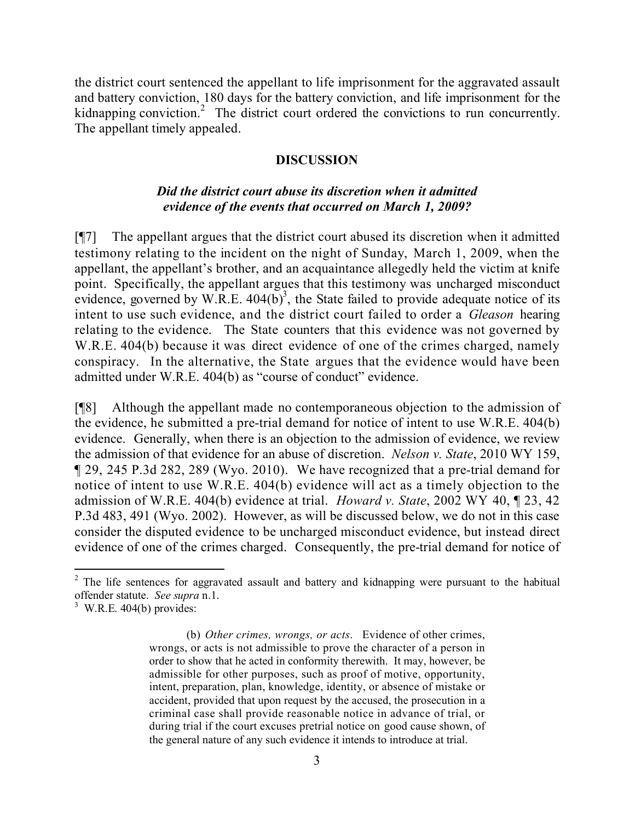the district court sentenced the appellant to life imprisonment for the aggravated assault and battery conviction, 180 days for the battery conviction, and life imprisonment for the kidnapping conviction.<sup>2</sup> The district court ordered the convictions to run concurrently. The appellant timely appealed.

### **DISCUSSION**

## *Did the district court abuse its discretion when it admitted evidence of the events that occurred on March 1, 2009?*

[¶7] The appellant argues that the district court abused its discretion when it admitted testimony relating to the incident on the night of Sunday, March 1, 2009, when the appellant, the appellant's brother, and an acquaintance allegedly held the victim at knife point. Specifically, the appellant argues that this testimony was uncharged misconduct evidence, governed by W.R.E.  $404(b)^3$ , the State failed to provide adequate notice of its intent to use such evidence, and the district court failed to order a *Gleason* hearing relating to the evidence. The State counters that this evidence was not governed by W.R.E. 404(b) because it was direct evidence of one of the crimes charged, namely conspiracy. In the alternative, the State argues that the evidence would have been admitted under W.R.E. 404(b) as "course of conduct" evidence.

[¶8] Although the appellant made no contemporaneous objection to the admission of the evidence, he submitted a pre-trial demand for notice of intent to use W.R.E. 404(b) evidence. Generally, when there is an objection to the admission of evidence, we review the admission of that evidence for an abuse of discretion. *Nelson v. State*, 2010 WY 159, ¶ 29, 245 P.3d 282, 289 (Wyo. 2010). We have recognized that a pre-trial demand for notice of intent to use W.R.E. 404(b) evidence will act as a timely objection to the admission of W.R.E. 404(b) evidence at trial. *Howard v. State*, 2002 WY 40, ¶ 23, 42 P.3d 483, 491 (Wyo. 2002). However, as will be discussed below, we do not in this case consider the disputed evidence to be uncharged misconduct evidence, but instead direct evidence of one of the crimes charged. Consequently, the pre-trial demand for notice of

l

<sup>&</sup>lt;sup>2</sup> The life sentences for aggravated assault and battery and kidnapping were pursuant to the habitual offender statute. *See supra* n.1.

 $3$  W.R.E. 404(b) provides:

<sup>(</sup>b) *Other crimes, wrongs, or acts*. Evidence of other crimes, wrongs, or acts is not admissible to prove the character of a person in order to show that he acted in conformity therewith. It may, however, be admissible for other purposes, such as proof of motive, opportunity, intent, preparation, plan, knowledge, identity, or absence of mistake or accident, provided that upon request by the accused, the prosecution in a criminal case shall provide reasonable notice in advance of trial, or during trial if the court excuses pretrial notice on good cause shown, of the general nature of any such evidence it intends to introduce at trial.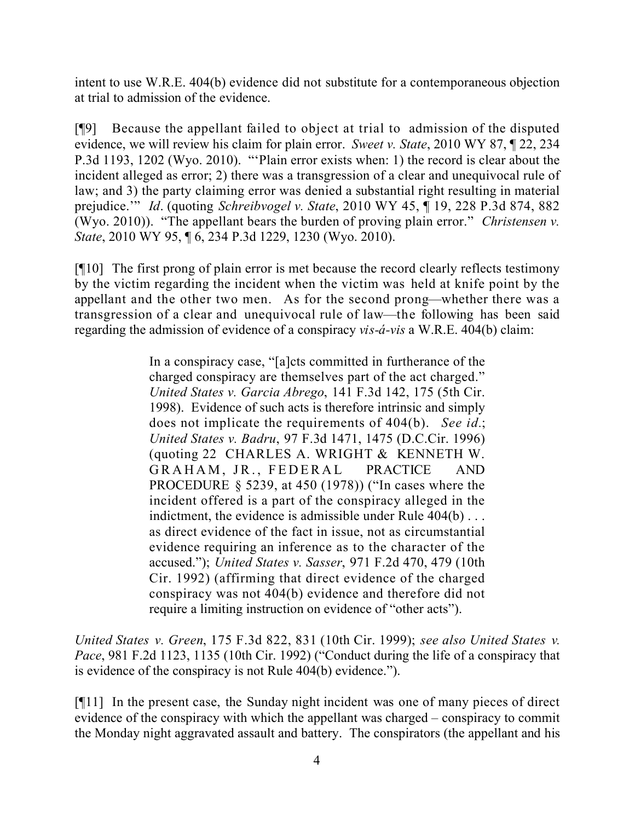intent to use W.R.E. 404(b) evidence did not substitute for a contemporaneous objection at trial to admission of the evidence.

[¶9] Because the appellant failed to object at trial to admission of the disputed evidence, we will review his claim for plain error. *Sweet v. State*, 2010 WY 87, ¶ 22, 234 P.3d 1193, 1202 (Wyo. 2010). "'Plain error exists when: 1) the record is clear about the incident alleged as error; 2) there was a transgression of a clear and unequivocal rule of law; and 3) the party claiming error was denied a substantial right resulting in material prejudice.'" *Id*. (quoting *Schreibvogel v. State*, 2010 WY 45, ¶ 19, 228 P.3d 874, 882 (Wyo. 2010)). "The appellant bears the burden of proving plain error." *Christensen v. State*, 2010 WY 95, ¶ 6, 234 P.3d 1229, 1230 (Wyo. 2010).

[¶10] The first prong of plain error is met because the record clearly reflects testimony by the victim regarding the incident when the victim was held at knife point by the appellant and the other two men. As for the second prong—whether there was a transgression of a clear and unequivocal rule of law—the following has been said regarding the admission of evidence of a conspiracy *vis-á-vis* a W.R.E. 404(b) claim:

> In a conspiracy case, "[a]cts committed in furtherance of the charged conspiracy are themselves part of the act charged." *United States v. Garcia Abrego*, 141 F.3d 142, 175 (5th Cir. 1998). Evidence of such acts is therefore intrinsic and simply does not implicate the requirements of 404(b). *See id.*; *United States v. Badru*, 97 F.3d 1471, 1475 (D.C.Cir. 1996) (quoting 22 CHARLES A. WRIGHT & KENNETH W. GRAHAM, JR., FEDERAL PRACTICE AND PROCEDURE § 5239, at 450 (1978)) ("In cases where the incident offered is a part of the conspiracy alleged in the indictment, the evidence is admissible under Rule 404(b)... as direct evidence of the fact in issue, not as circumstantial evidence requiring an inference as to the character of the accused."); *United States v. Sasser*, 971 F.2d 470, 479 (10th Cir. 1992) (affirming that direct evidence of the charged conspiracy was not 404(b) evidence and therefore did not require a limiting instruction on evidence of "other acts").

*United States v. Green*, 175 F.3d 822, 831 (10th Cir. 1999); *see also United States v. Pace*, 981 F.2d 1123, 1135 (10th Cir. 1992) ("Conduct during the life of a conspiracy that is evidence of the conspiracy is not Rule 404(b) evidence.").

[¶11] In the present case, the Sunday night incident was one of many pieces of direct evidence of the conspiracy with which the appellant was charged – conspiracy to commit the Monday night aggravated assault and battery. The conspirators (the appellant and his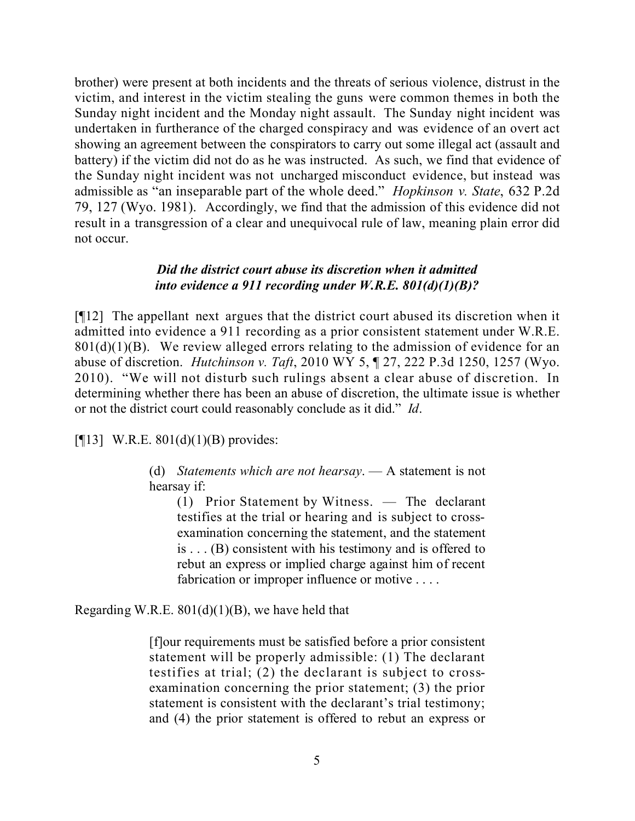brother) were present at both incidents and the threats of serious violence, distrust in the victim, and interest in the victim stealing the guns were common themes in both the Sunday night incident and the Monday night assault. The Sunday night incident was undertaken in furtherance of the charged conspiracy and was evidence of an overt act showing an agreement between the conspirators to carry out some illegal act (assault and battery) if the victim did not do as he was instructed. As such, we find that evidence of the Sunday night incident was not uncharged misconduct evidence, but instead was admissible as "an inseparable part of the whole deed." *Hopkinson v. State*, 632 P.2d 79, 127 (Wyo. 1981). Accordingly, we find that the admission of this evidence did not result in a transgression of a clear and unequivocal rule of law, meaning plain error did not occur.

### *Did the district court abuse its discretion when it admitted into evidence a 911 recording under W.R.E. 801(d)(1)(B)?*

[¶12] The appellant next argues that the district court abused its discretion when it admitted into evidence a 911 recording as a prior consistent statement under W.R.E.  $801(d)(1)(B)$ . We review alleged errors relating to the admission of evidence for an abuse of discretion. *Hutchinson v. Taft*, 2010 WY 5, ¶ 27, 222 P.3d 1250, 1257 (Wyo. 2010). "We will not disturb such rulings absent a clear abuse of discretion. In determining whether there has been an abuse of discretion, the ultimate issue is whether or not the district court could reasonably conclude as it did." *Id*.

[ $[13]$  W.R.E. 801(d)(1)(B) provides:

(d) *Statements which are not hearsay*. — A statement is not hearsay if:

(1) Prior Statement by Witness. — The declarant testifies at the trial or hearing and is subject to crossexamination concerning the statement, and the statement is . . . (B) consistent with his testimony and is offered to rebut an express or implied charge against him of recent fabrication or improper influence or motive . . . .

Regarding W.R.E.  $801(d)(1)(B)$ , we have held that

[f]our requirements must be satisfied before a prior consistent statement will be properly admissible: (1) The declarant testifies at trial; (2) the declarant is subject to crossexamination concerning the prior statement; (3) the prior statement is consistent with the declarant's trial testimony; and (4) the prior statement is offered to rebut an express or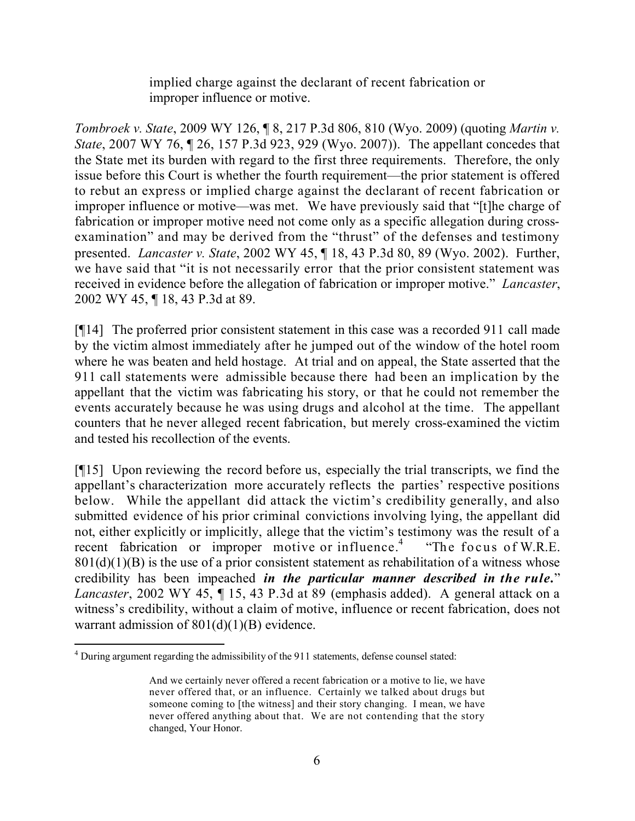implied charge against the declarant of recent fabrication or improper influence or motive.

*Tombroek v. State*, 2009 WY 126, ¶ 8, 217 P.3d 806, 810 (Wyo. 2009) (quoting *Martin v. State*, 2007 WY 76, ¶ 26, 157 P.3d 923, 929 (Wyo. 2007)). The appellant concedes that the State met its burden with regard to the first three requirements. Therefore, the only issue before this Court is whether the fourth requirement—the prior statement is offered to rebut an express or implied charge against the declarant of recent fabrication or improper influence or motive—was met. We have previously said that "[t]he charge of fabrication or improper motive need not come only as a specific allegation during crossexamination" and may be derived from the "thrust" of the defenses and testimony presented. *Lancaster v. State*, 2002 WY 45, ¶ 18, 43 P.3d 80, 89 (Wyo. 2002). Further, we have said that "it is not necessarily error that the prior consistent statement was received in evidence before the allegation of fabrication or improper motive." *Lancaster*, 2002 WY 45, ¶ 18, 43 P.3d at 89.

[¶14] The proferred prior consistent statement in this case was a recorded 911 call made by the victim almost immediately after he jumped out of the window of the hotel room where he was beaten and held hostage. At trial and on appeal, the State asserted that the 911 call statements were admissible because there had been an implication by the appellant that the victim was fabricating his story, or that he could not remember the events accurately because he was using drugs and alcohol at the time. The appellant counters that he never alleged recent fabrication, but merely cross-examined the victim and tested his recollection of the events.

[¶15] Upon reviewing the record before us, especially the trial transcripts, we find the appellant's characterization more accurately reflects the parties' respective positions below. While the appellant did attack the victim's credibility generally, and also submitted evidence of his prior criminal convictions involving lying, the appellant did not, either explicitly or implicitly, allege that the victim's testimony was the result of a recent fabrication or improper motive or influence.<sup>4</sup> "The focus of W.R.E.  $801(d)(1)(B)$  is the use of a prior consistent statement as rehabilitation of a witness whose credibility has been impeached *in the particular manner described in the rule.*" *Lancaster*, 2002 WY 45, ¶ 15, 43 P.3d at 89 (emphasis added). A general attack on a witness's credibility, without a claim of motive, influence or recent fabrication, does not warrant admission of  $801(d)(1)(B)$  evidence.

 $\overline{a}$ 

<sup>4</sup> During argument regarding the admissibility of the 911 statements, defense counsel stated:

And we certainly never offered a recent fabrication or a motive to lie, we have never offered that, or an influence. Certainly we talked about drugs but someone coming to [the witness] and their story changing. I mean, we have never offered anything about that. We are not contending that the story changed, Your Honor.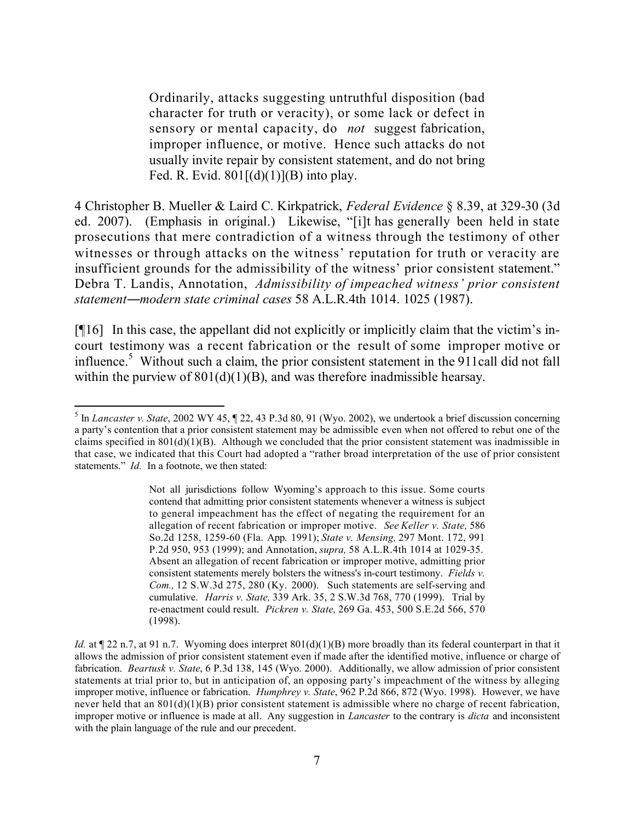Ordinarily, attacks suggesting untruthful disposition (bad character for truth or veracity), or some lack or defect in sensory or mental capacity, do *not* suggest fabrication, improper influence, or motive. Hence such attacks do not usually invite repair by consistent statement, and do not bring Fed. R. Evid.  $801[(d)(1)](B)$  into play.

4 Christopher B. Mueller & Laird C. Kirkpatrick, *Federal Evidence* § 8.39, at 329-30 (3d ed. 2007). (Emphasis in original.) Likewise, "[i]t has generally been held in state prosecutions that mere contradiction of a witness through the testimony of other witnesses or through attacks on the witness' reputation for truth or veracity are insufficient grounds for the admissibility of the witness' prior consistent statement." Debra T. Landis, Annotation, *Admissibility of impeached witness' prior consistent statement―modern state criminal cases* 58 A.L.R.4th 1014. 1025 (1987).

[¶16] In this case, the appellant did not explicitly or implicitly claim that the victim's incourt testimony was a recent fabrication or the result of some improper motive or influence.<sup>5</sup> Without such a claim, the prior consistent statement in the  $911$ call did not fall within the purview of  $801(d)(1)(B)$ , and was therefore inadmissible hearsay.

 5 In *Lancaster v. State*, 2002 WY 45, ¶ 22, 43 P.3d 80, 91 (Wyo. 2002), we undertook a brief discussion concerning a party's contention that a prior consistent statement may be admissible even when not offered to rebut one of the claims specified in  $801(d)(1)(B)$ . Although we concluded that the prior consistent statement was inadmissible in that case, we indicated that this Court had adopted a "rather broad interpretation of the use of prior consistent statements." *Id.* In a footnote, we then stated:

Not all jurisdictions follow Wyoming's approach to this issue. Some courts contend that admitting prior consistent statements whenever a witness is subject to general impeachment has the effect of negating the requirement for an allegation of recent fabrication or improper motive. *See Keller v. State,* 586 So.2d 1258, 1259-60 (Fla. App. 1991); *State v. Mensing,* 297 Mont. 172, 991 P.2d 950, 953 (1999); and Annotation, *supra,* 58 A.L.R.4th 1014 at 1029-35. Absent an allegation of recent fabrication or improper motive, admitting prior consistent statements merely bolsters the witness's in-court testimony. *Fields v. Com.,* 12 S.W.3d 275, 280 (Ky. 2000). Such statements are self-serving and cumulative. *Harris v. State,* 339 Ark. 35, 2 S.W.3d 768, 770 (1999). Trial by re-enactment could result. *Pickren v. State,* 269 Ga. 453, 500 S.E.2d 566, 570 (1998).

*Id.* at  $\sim$  22 n.7, at 91 n.7. Wyoming does interpret 801(d)(1)(B) more broadly than its federal counterpart in that it allows the admission of prior consistent statement even if made after the identified motive, influence or charge of fabrication. *Beartusk v. State*, 6 P.3d 138, 145 (Wyo. 2000). Additionally, we allow admission of prior consistent statements at trial prior to, but in anticipation of, an opposing party's impeachment of the witness by alleging improper motive, influence or fabrication. *Humphrey v. State*, 962 P.2d 866, 872 (Wyo. 1998). However, we have never held that an 801(d)(1)(B) prior consistent statement is admissible where no charge of recent fabrication, improper motive or influence is made at all. Any suggestion in *Lancaster* to the contrary is *dicta* and inconsistent with the plain language of the rule and our precedent.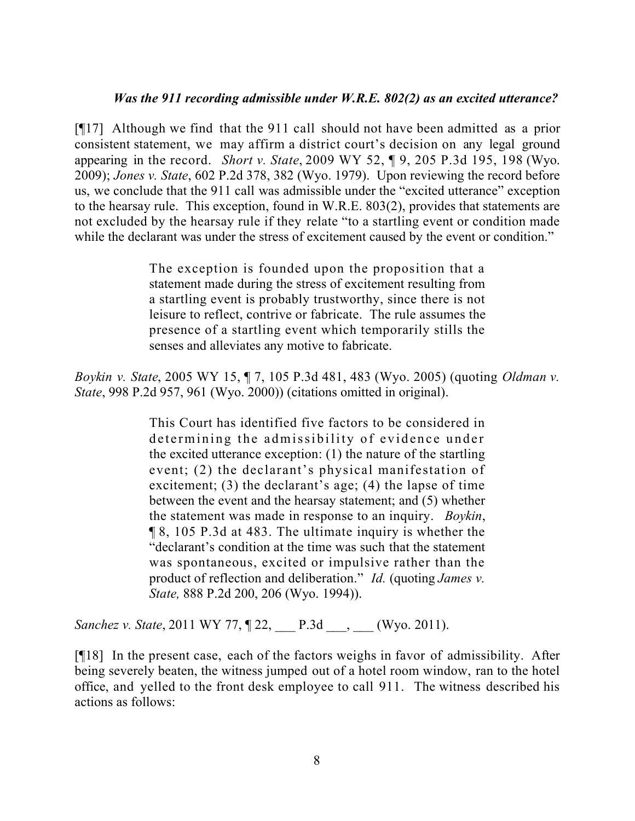### *Was the 911 recording admissible under W.R.E. 802(2) as an excited utterance?*

[¶17] Although we find that the 911 call should not have been admitted as a prior consistent statement, we may affirm a district court's decision on any legal ground appearing in the record. *Short v. State*, 2009 WY 52, ¶ 9, 205 P.3d 195, 198 (Wyo. 2009); *Jones v. State*, 602 P.2d 378, 382 (Wyo. 1979). Upon reviewing the record before us, we conclude that the 911 call was admissible under the "excited utterance" exception to the hearsay rule. This exception, found in W.R.E. 803(2), provides that statements are not excluded by the hearsay rule if they relate "to a startling event or condition made while the declarant was under the stress of excitement caused by the event or condition."

> The exception is founded upon the proposition that a statement made during the stress of excitement resulting from a startling event is probably trustworthy, since there is not leisure to reflect, contrive or fabricate. The rule assumes the presence of a startling event which temporarily stills the senses and alleviates any motive to fabricate.

*Boykin v. State*, 2005 WY 15, ¶ 7, 105 P.3d 481, 483 (Wyo. 2005) (quoting *Oldman v. State*, 998 P.2d 957, 961 (Wyo. 2000)) (citations omitted in original).

> This Court has identified five factors to be considered in determining the admissibility of evidence under the excited utterance exception: (1) the nature of the startling event; (2) the declarant's physical manifestation of excitement; (3) the declarant's age; (4) the lapse of time between the event and the hearsay statement; and (5) whether the statement was made in response to an inquiry. *Boykin*, ¶ 8, 105 P.3d at 483. The ultimate inquiry is whether the "declarant's condition at the time was such that the statement was spontaneous, excited or impulsive rather than the product of reflection and deliberation." *Id.* (quoting *James v. State,* 888 P.2d 200, 206 (Wyo. 1994)).

*Sanchez v. State*, 2011 WY 77,  $\sqrt{22}$ , P.3d , (Wyo. 2011).

[¶18] In the present case, each of the factors weighs in favor of admissibility. After being severely beaten, the witness jumped out of a hotel room window, ran to the hotel office, and yelled to the front desk employee to call 911. The witness described his actions as follows: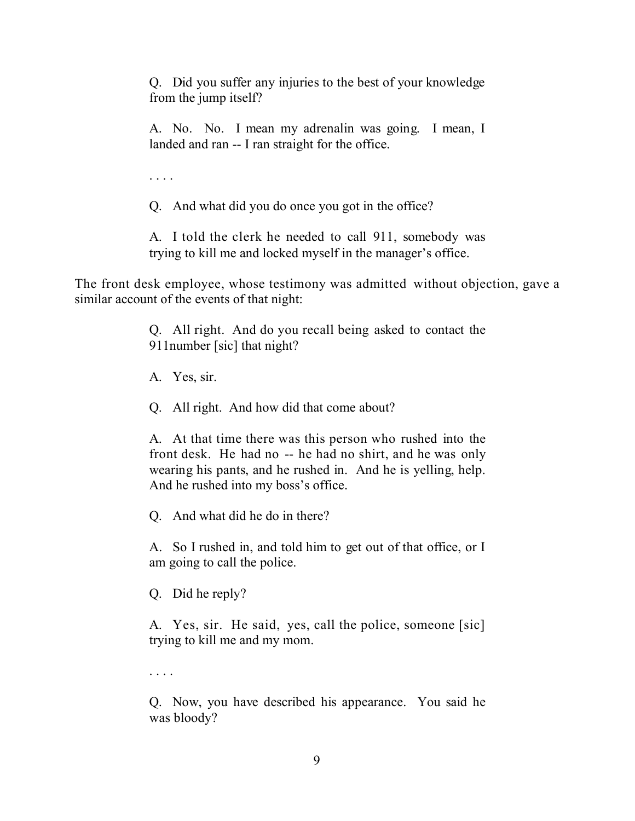Q. Did you suffer any injuries to the best of your knowledge from the jump itself?

A. No. No. I mean my adrenalin was going. I mean, I landed and ran -- I ran straight for the office.

. . . .

Q. And what did you do once you got in the office?

A. I told the clerk he needed to call 911, somebody was trying to kill me and locked myself in the manager's office.

The front desk employee, whose testimony was admitted without objection, gave a similar account of the events of that night:

> Q. All right. And do you recall being asked to contact the 911number [sic] that night?

A. Yes, sir.

Q. All right. And how did that come about?

A. At that time there was this person who rushed into the front desk. He had no -- he had no shirt, and he was only wearing his pants, and he rushed in. And he is yelling, help. And he rushed into my boss's office.

Q. And what did he do in there?

A. So I rushed in, and told him to get out of that office, or I am going to call the police.

Q. Did he reply?

A. Yes, sir. He said, yes, call the police, someone [sic] trying to kill me and my mom.

. . . .

Q. Now, you have described his appearance. You said he was bloody?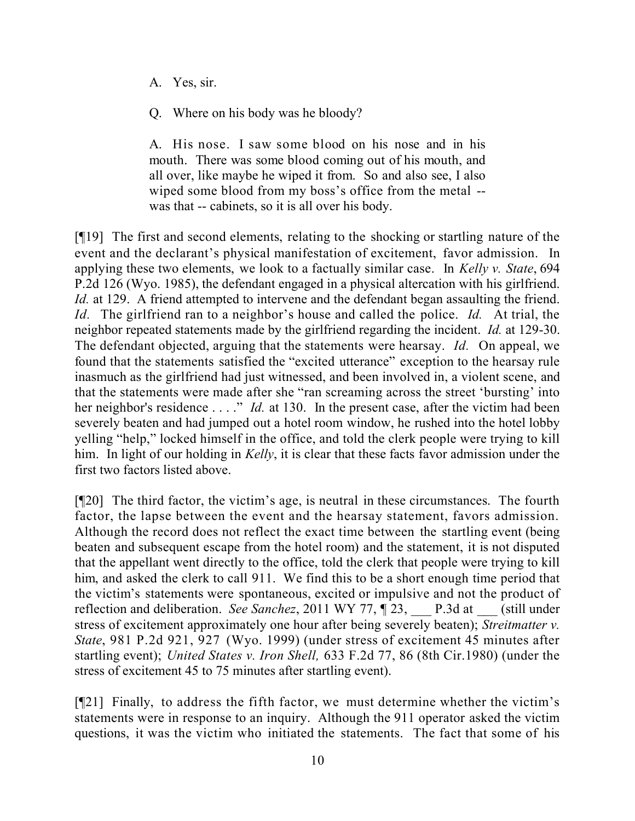- A. Yes, sir.
- Q. Where on his body was he bloody?

A. His nose. I saw some blood on his nose and in his mouth. There was some blood coming out of his mouth, and all over, like maybe he wiped it from. So and also see, I also wiped some blood from my boss's office from the metal - was that -- cabinets, so it is all over his body.

[¶19] The first and second elements, relating to the shocking or startling nature of the event and the declarant's physical manifestation of excitement, favor admission. In applying these two elements, we look to a factually similar case. In *Kelly v. State*, 694 P.2d 126 (Wyo. 1985), the defendant engaged in a physical altercation with his girlfriend. *Id.* at 129. A friend attempted to intervene and the defendant began assaulting the friend. *Id.* The girlfriend ran to a neighbor's house and called the police. *Id.* At trial, the neighbor repeated statements made by the girlfriend regarding the incident. *Id.* at 129-30. The defendant objected, arguing that the statements were hearsay. *Id.* On appeal, we found that the statements satisfied the "excited utterance" exception to the hearsay rule inasmuch as the girlfriend had just witnessed, and been involved in, a violent scene, and that the statements were made after she "ran screaming across the street 'bursting' into her neighbor's residence . . . ." *Id.* at 130. In the present case, after the victim had been severely beaten and had jumped out a hotel room window, he rushed into the hotel lobby yelling "help," locked himself in the office, and told the clerk people were trying to kill him. In light of our holding in *Kelly*, it is clear that these facts favor admission under the first two factors listed above.

[¶20] The third factor, the victim's age, is neutral in these circumstances. The fourth factor, the lapse between the event and the hearsay statement, favors admission. Although the record does not reflect the exact time between the startling event (being beaten and subsequent escape from the hotel room) and the statement, it is not disputed that the appellant went directly to the office, told the clerk that people were trying to kill him, and asked the clerk to call 911. We find this to be a short enough time period that the victim's statements were spontaneous, excited or impulsive and not the product of reflection and deliberation. *See Sanchez*, 2011 WY 77, ¶ 23, P.3d at (still under stress of excitement approximately one hour after being severely beaten); *Streitmatter v. State*, 981 P.2d 921, 927 (Wyo. 1999) (under stress of excitement 45 minutes after startling event); *United States v. Iron Shell,* 633 F.2d 77, 86 (8th Cir.1980) (under the stress of excitement 45 to 75 minutes after startling event).

[¶21] Finally, to address the fifth factor, we must determine whether the victim's statements were in response to an inquiry. Although the 911 operator asked the victim questions, it was the victim who initiated the statements. The fact that some of his